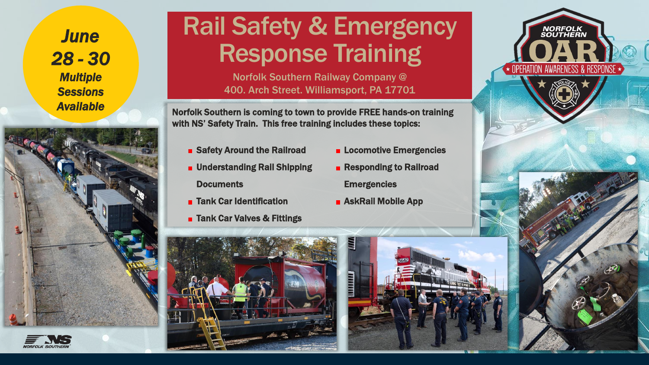*June 28 - 30 Multiple Sessions Available* 



## Rail Safety & Emergency Response Training

Norfolk Southern Railway Company @ 400. Arch Street. Williamsport, PA 17701

Norfolk Southern is coming to town to provide FREE hands-on training with NS' Safety Train. This free training includes these topics:

- **B** Safety Around the Railroad
- **u** Understanding Rail Shipping

**Documents** 

- **Tank Car Identification**
- **Tank Car Valves & Fittings**
- **E** Locomotive Emergencies
- **Responding to Railroad Emergencies**
- **B** AskRail Mobile App



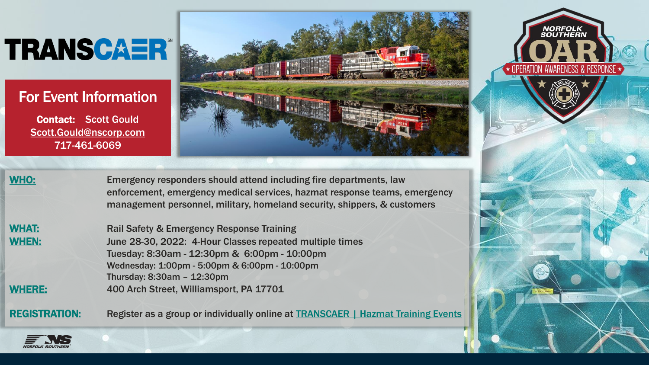# **TRANSCAER**

### For Event Information

Contact: Scott Gould Scott.Gould@nscorp.com 717-461-6069





WHO: Emergency responders should attend including fire departments, law enforcement, emergency medical services, hazmat response teams, emergency management personnel, military, homeland security, shippers, & customers

WHAT: Rail Safety & Emergency Response Training WHEN: June 28-30, 2022: 4-Hour Classes repeated multiple times Tuesday: 8:30am - 12:30pm & 6:00pm - 10:00pm Wednesday: 1:00pm - 5:00pm & 6:00pm - 10:00pm Thursday: 8:30am – 12:30pm WHERE: 400 Arch Street, Williamsport, PA 17701

REGISTRATION: Register as a group or individually online at [TRANSCAER | Hazmat Training Events](https://www.transcaer.com/training/training-events)